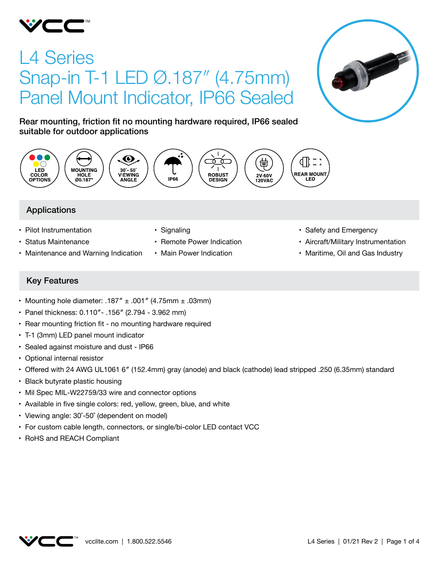

# L4 Series Snap-in T-1 LED Ø.187″ (4.75mm) Panel Mount Indicator, IP66 Sealed



Rear mounting, friction fit no mounting hardware required, IP66 sealed suitable for outdoor applications



# Applications

- Pilot Instrumentation
- • Status Maintenance
- Maintenance and Warning Indication
- Signaling
- Remote Power Indication
- Main Power Indication
- Safety and Emergency
- • Aircraft/Military Instrumentation
- Maritime, Oil and Gas Industry

# Key Features

- Mounting hole diameter: .187"  $\pm$  .001" (4.75mm  $\pm$  .03mm)
- • Panel thickness: 0.110″- .156″ (2.794 3.962 mm)
- Rear mounting friction fit no mounting hardware required
- • T-1 (3mm) LED panel mount indicator
- Sealed against moisture and dust IP66
- Optional internal resistor
- • Offered with 24 AWG UL1061 6″ (152.4mm) gray (anode) and black (cathode) lead stripped .250 (6.35mm) standard
- Black butyrate plastic housing
- Mil Spec MIL-W22759/33 wire and connector options
- Available in five single colors: red, yellow, green, blue, and white
- Viewing angle: 30°-50° (dependent on model)
- For custom cable length, connectors, or single/bi-color LED contact VCC
- • RoHS and REACH Compliant

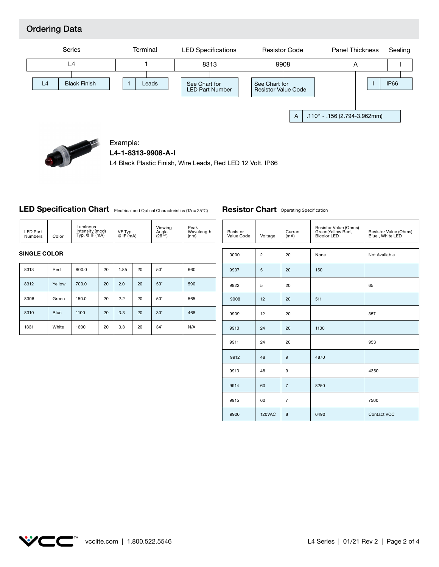# Ordering Data





## Example:

**L4-1-8313-9908-A-I**

L4 Black Plastic Finish, Wire Leads, Red LED 12 Volt, IP66

# LED Specification Chart Electrical and Optical Characteristics (TA = 25°C)

| LED Part<br><b>Numbers</b> | Luminous<br>Intensity (mcd)<br>Typ. $@$ IF $(mA)$<br>Color | VF Typ.<br>$@$ IF $(mA)$ | Viewing<br>Angle<br>$(2\theta^{1/2})$ | Peak<br>Wavelength<br>(nm) |
|----------------------------|------------------------------------------------------------|--------------------------|---------------------------------------|----------------------------|
|----------------------------|------------------------------------------------------------|--------------------------|---------------------------------------|----------------------------|

#### **SINGLE COLOR**

| 8313 | Red         | 800.0 | 20 | 1.85 | 20 | $50^\circ$ | 660 |
|------|-------------|-------|----|------|----|------------|-----|
| 8312 | Yellow      | 700.0 | 20 | 2.0  | 20 | $50^\circ$ | 590 |
| 8306 | Green       | 150.0 | 20 | 2.2  | 20 | $50^\circ$ | 565 |
| 8310 | <b>Blue</b> | 1100  | 20 | 3.3  | 20 | $30^\circ$ | 468 |
| 1331 | White       | 1600  | 20 | 3.3  | 20 | $34^\circ$ | N/A |

#### **Resistor Chart** Operating Specification

| Resistor<br>Value Code | Voltage        | Current<br>(mA) | Resistor Value (Ohms)<br>Green, Yellow Red,<br><b>Bicolor LED</b> | Resistor Value (Ohms)<br>Blue, White LED |
|------------------------|----------------|-----------------|-------------------------------------------------------------------|------------------------------------------|
| 0000                   | $\overline{2}$ | 20              | None                                                              | Not Available                            |
| 9907                   | 5              | 20              | 150                                                               |                                          |
| 9922                   | 5              | 20              |                                                                   | 65                                       |
| 9908                   | 12             | 20              | 511                                                               |                                          |
| 9909                   | 12             | 20              |                                                                   | 357                                      |
| 9910                   | 24             | 20              | 1100                                                              |                                          |
| 9911                   | 24             | 20              |                                                                   | 953                                      |
| 9912                   | 48             | 9               | 4870                                                              |                                          |
| 9913                   | 48             | 9               |                                                                   | 4350                                     |
| 9914                   | 60             | $\overline{7}$  | 8250                                                              |                                          |
| 9915                   | 60             | $\overline{7}$  |                                                                   | 7500                                     |
| 9920                   | 120VAC         | 8               | 6490                                                              | <b>Contact VCC</b>                       |

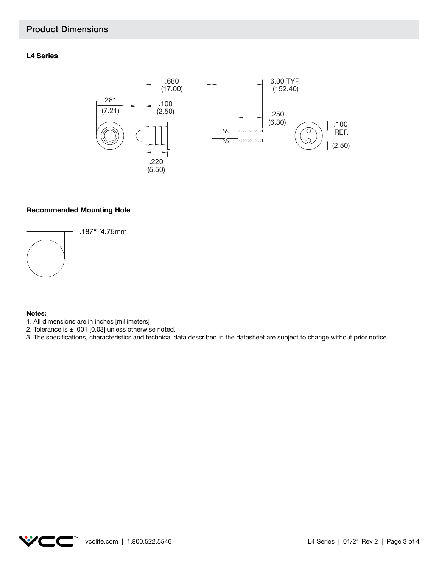# Product Dimensions

### **L4 Series**



#### **Recommended Mounting Hole**



.187″ [4.75mm]

#### **Notes:**

- 1. All dimensions are in inches [millimeters]
- 2. Tolerance is  $\pm$  .001 [0.03] unless otherwise noted.
- 3. The specifications, characteristics and technical data described in the datasheet are subject to change without prior notice.